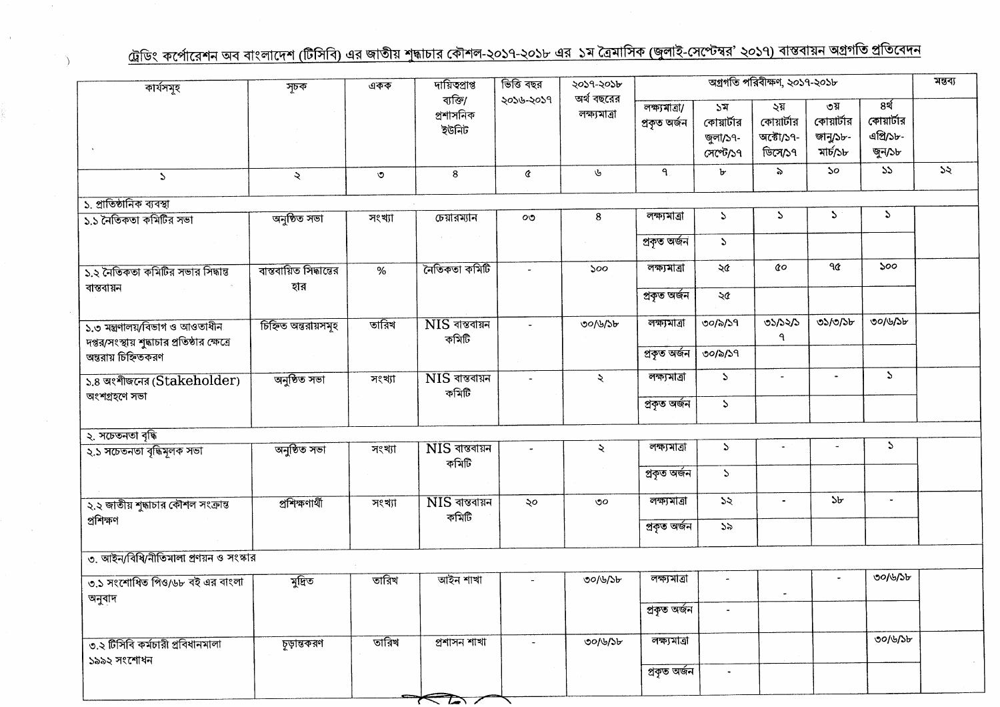## <u>ট্রেডিং কর্পোরেশন অব বাংলাদেশ (টিসিবি) এর জাতীয় শুদ্ধাচার কৌশল-২০১৭-২০১৮ এর ১ম ত্রৈমাসিক (জুলাই-সেপ্টেম্বর' ২০১৭) বাস্তবায়ন অগ্রগতি প্রতিবেদন</u>

À

| কাৰ্যসমূহ                                                                       | সূচক                          | একক                       | দায়িত্বপ্ৰাপ্ত                             | ভিত্তি বছর     | ২০১৭-২০১৮                  |                               |                                           | মন্তব্য                                   |                                           |                                           |    |
|---------------------------------------------------------------------------------|-------------------------------|---------------------------|---------------------------------------------|----------------|----------------------------|-------------------------------|-------------------------------------------|-------------------------------------------|-------------------------------------------|-------------------------------------------|----|
|                                                                                 |                               |                           | ব্যক্তি/<br>প্ৰশাসনিক<br>ইউনিট              | ২০১৬-২০১৭      | অৰ্থ বছরের<br>লক্ষ্যমাত্ৰা | লক্ষ্যমাত্ৰা/<br>প্ৰকৃত অৰ্জন | ১ম<br>কোয়ার্টার<br>জুলা/১৭-<br>সেপ্টে/১৭ | ২য়<br>কোয়ার্টার<br>অক্টো/১৭-<br>ডিসে/১৭ | ৩য়<br>কোয়ার্টার<br>জানু/১৮-<br>মার্চ/১৮ | ৪র্থ<br>কোয়ার্টার<br>এপ্রি/১৮-<br>জুন/১৮ |    |
| $\mathcal{L}$                                                                   | ₹                             | $\circ$                   | 8                                           | ¢              | Ý                          | $\mathbf{q}$                  | b.                                        | ৯                                         | $50^{\circ}$                              | 55                                        | 55 |
| ১. প্রাতিষ্ঠানিক ব্যবস্থা                                                       |                               |                           |                                             |                |                            |                               |                                           |                                           |                                           |                                           |    |
| ১.১ নৈতিকতা কমিটির সভা                                                          | অনুষ্ঠিত সভা                  | সংখ্যা                    | চেয়ারম্যান                                 | $\circ\circ$   | 8                          | লক্ষ্যমাত্ৰা                  | $\mathcal{L}$                             | S.                                        | S                                         | $\mathcal{L}$                             |    |
|                                                                                 |                               |                           |                                             |                |                            | প্ৰকৃত অৰ্জন                  | $\mathcal{L}$                             |                                           |                                           |                                           |    |
| ১.২ নৈতিকতা কমিটির সভার সিদ্ধান্ত                                               | বাস্তবায়িত সিদ্ধান্তের       | %                         | নৈতিকতা কমিটি                               |                | 500                        | লক্ষ্যমাত্ৰা                  | ২৫                                        | QΟ                                        | ዓ৫                                        | ১০০                                       |    |
| বান্তবায়ন                                                                      | হার                           |                           |                                             |                |                            | প্ৰকৃত অৰ্জন                  | ২৫                                        |                                           |                                           |                                           |    |
| ১.৩ মন্ত্ৰণালয়/বিভাগ ও আওতাধীন<br>দপ্তর/সংস্থায় শুদ্ধাচার প্রতিষ্ঠার ক্ষেত্রে | তারিখ<br>চিহ্নিত অন্তরায়সমূহ | $NIS$ বাস্তবায়ন<br>কমিটি | $\overline{a}$                              | ৩০/৬/১৮        | লক্ষ্যমাত্ৰা               | ৩০/৯/১৭                       | ৩১/১২/১<br>٩                              | ৩১/৩/১৮                                   | ৩০/৬/১৮                                   |                                           |    |
| অন্তরায় চিহ্নিতকরণ                                                             |                               |                           |                                             |                |                            | প্ৰকৃত অৰ্জন                  | ৩০/৯/১৭                                   |                                           |                                           |                                           |    |
| ১.৪ অংশীজনের (Stakeholder)<br>অংশগ্ৰহণে সভা                                     | অনুষ্ঠিত সভা                  | সংখ্যা                    | $\overline{\text{NIS}}$ বাস্তবায়ন<br>কমিটি |                | $\ddot{\mathbf{z}}$        | লক্ষ্যমাত্ৰা                  | $\mathcal{L}$                             | $\blacksquare$                            | $\blacksquare$                            | S.                                        |    |
|                                                                                 |                               |                           |                                             |                |                            | প্ৰকৃত অৰ্জন                  | $\mathbf S$                               |                                           |                                           |                                           |    |
| ২. সচেতনতা বৃদ্ধি                                                               |                               |                           |                                             |                |                            |                               |                                           |                                           |                                           |                                           |    |
| ২.১ সচেতনতা বৃদ্ধিমূলক সভা                                                      | অনুষ্ঠিত সভা                  | সংখ্যা                    | $NIS$ বান্তবায়ন<br>কমিটি                   | $\blacksquare$ | ২                          | লক্ষ্যমাত্ৰা                  | $\sum_{i=1}^{n}$                          | $\blacksquare$                            |                                           | $\mathcal{L}$                             |    |
|                                                                                 |                               |                           |                                             |                |                            | প্ৰকৃত অৰ্জন                  | $\mathcal{L}$                             |                                           |                                           |                                           |    |
| ২.২ জাতীয় শুদ্ধাচার কৌশল সংক্রান্ত<br>প্ৰশিক্ষণ                                | প্ৰশিক্ষণাৰ্থী                | সংখ্যা                    | $NIS$ বান্তবায়ন<br>কমিটি                   | ২০             | ৩০                         | লক্ষ্যমাত্ৰা                  | 55                                        | $\tilde{\phantom{a}}$                     | ১৮                                        | $\bullet$                                 |    |
|                                                                                 |                               |                           |                                             |                |                            | প্ৰকৃত অৰ্জন                  | 55                                        |                                           |                                           |                                           |    |
| ৩. আইন/বিধি/নীতিমালা প্রণয়ন ও সংস্কার                                          |                               |                           |                                             |                |                            |                               |                                           |                                           |                                           |                                           |    |
| ত.১ সংশোধিত পিও/৬৮ বই এর বাংলা                                                  | মুদ্রিত                       | তারিখ                     | আইন শাখা                                    |                | ৩০/৬/১৮                    | লক্ষ্যমাত্ৰা                  |                                           |                                           |                                           | ৩০/৬/১৮                                   |    |
| অনুবাদ                                                                          |                               |                           |                                             |                |                            | প্ৰকৃত অৰ্জন                  |                                           |                                           |                                           |                                           |    |
| ৩.২ টিসিবি কর্মচারী প্রবিধানমালা<br>১৯৯২ সংশোধন                                 | চূড়ান্তকরণ                   | তারিখ                     | প্ৰশাসন শাখা                                |                | ৩০/৬/১৮                    | লক্ষ্যমাত্ৰা                  |                                           |                                           |                                           | ৩০/৬/১৮                                   |    |
|                                                                                 |                               |                           |                                             |                |                            | প্ৰকৃত অৰ্জন                  | $\tilde{\phantom{a}}$                     |                                           |                                           |                                           |    |
|                                                                                 |                               |                           | $\mathcal{L}$                               |                |                            |                               |                                           |                                           |                                           |                                           |    |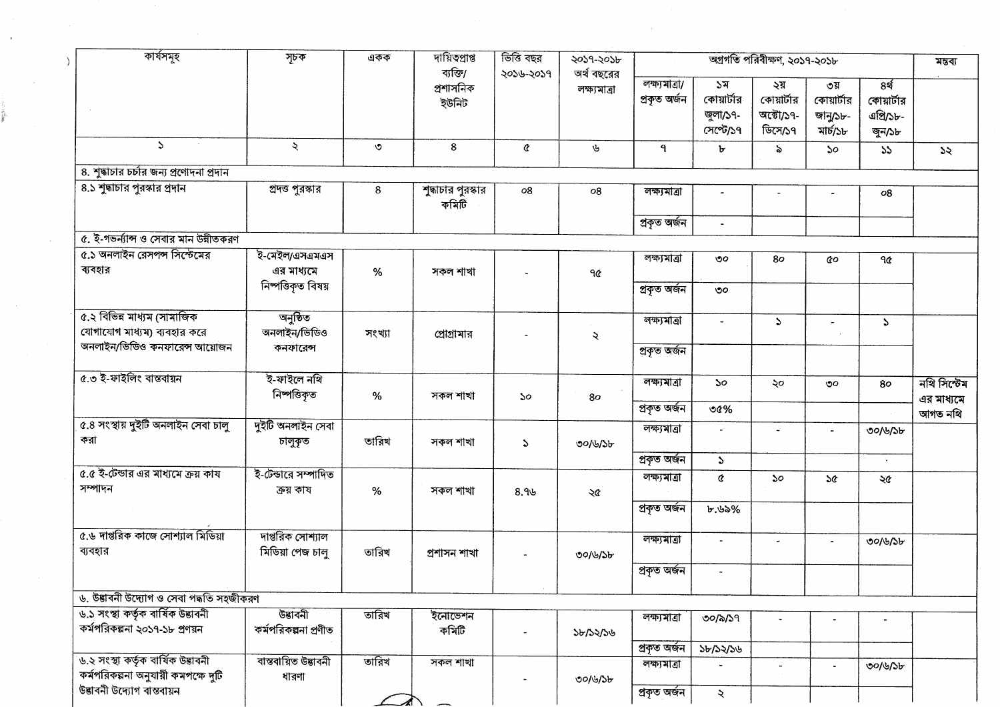| কাৰ্যসমূহ                                                  | সূচক                                 | একক     | দায়িতপ্ৰাপ্ত<br>ব্যক্তি/   | ভিত্তি বছর<br>২০১৬-২০১৭ | ২০১৭-২০১৮<br>অৰ্থ বছরের |                               |                                           | অগ্রগতি পরিবীক্ষণ, ২০১৭-২০১৮              |                                           |                                                     |
|------------------------------------------------------------|--------------------------------------|---------|-----------------------------|-------------------------|-------------------------|-------------------------------|-------------------------------------------|-------------------------------------------|-------------------------------------------|-----------------------------------------------------|
|                                                            |                                      |         | প্ৰশাসনিক<br>ইউনিট          |                         | লক্ষ্যমাত্ৰা            | লক্ষ্যমাত্ৰা/<br>প্ৰকৃত অৰ্জন | ১ম<br>কোয়ার্টার<br>জুলা/১৭-<br>সেপ্টে/১৭ | ২য়<br>কোয়ার্টার<br>অক্টো/১৭-<br>ডিসে/১৭ | ৩য়<br>কোয়ার্টার<br>জানু/১৮-<br>মাৰ্চ/১৮ | 8 <sup>4</sup><br>কোয়ার্টার<br>এপ্রি/১৮-<br>জুন/১৮ |
| $\Delta$                                                   | $\tilde{\mathcal{L}}$                | $\circ$ | 8                           | ¢                       | ىل                      | ٩.                            | Ъ                                         | $\delta$                                  | 50                                        | 55                                                  |
| ৪. শুদ্ধাচার চর্চার জন্য প্রণোদনা প্রদান                   |                                      |         |                             |                         |                         |                               |                                           |                                           |                                           |                                                     |
| ৪.১ শুদ্ধাচার পুরস্কার প্রদান                              | প্রদত্ত পুরস্কার                     | 8       | শুদ্ধাচার পুরস্কার<br>কমিটি | 08                      | 08                      | লক্ষ্যমাত্ৰা                  |                                           |                                           |                                           | 08                                                  |
|                                                            |                                      |         |                             |                         |                         | প্ৰকৃত অৰ্জন                  | $\blacksquare$                            |                                           |                                           |                                                     |
| ৫. ই-গভৰ্ন্যান্স ও সেবার মান উন্নীতকরণ                     |                                      |         |                             |                         |                         |                               |                                           |                                           |                                           |                                                     |
| ৫.১ অনলাইন রেসপন্স সিস্টেমের<br>ব্যবহার                    | ই-মেইল/এসএমএস<br>এর মাধ্যমে          | $\%$    | সকল শাখা                    |                         | ৭৫                      | লক্ষ্যমাত্ৰা                  | $\mathcal{O}O$                            | 80                                        | QΟ                                        | ٩¢                                                  |
|                                                            | নিষ্পত্তিকৃত বিষয়                   |         |                             |                         |                         | প্ৰকৃত অৰ্জন                  | ৩০                                        |                                           |                                           |                                                     |
| ৫.২ বিভিন্ন মাধ্যম (সামাজিক<br>যোগাযোগ মাধ্যম) ব্যবহার করে | অনুষ্ঠিত<br>অনলাইন/ভিডিও             | সংখ্যা  | প্রোগ্রামার                 |                         | $\mathbf{z}$            | লক্ষ্যমাত্ৰা                  |                                           | $\Delta$                                  |                                           | $\mathcal{L}$                                       |
| অনলাইন/ভিডিও কনফারেন্স আয়োজন                              | কনফারেন্স                            |         |                             |                         |                         | প্ৰকৃত অৰ্জন                  |                                           |                                           |                                           |                                                     |
| ৫.৩ ই-ফাইলিং বাস্তবায়ন                                    | ই-ফাইলে নথি                          |         |                             |                         |                         | লক্ষ্যমাত্ৰা                  | $50^{\circ}$                              | ২০                                        | ৩০                                        | 80                                                  |
|                                                            | নিষ্পত্তিকৃত                         | %       | সকল শাখা                    | $50^{\circ}$            | 80                      |                               |                                           |                                           |                                           |                                                     |
| ৫.৪ সংস্থায় দুইটি অনলাইন সেবা চালু                        |                                      |         |                             |                         |                         | প্ৰকৃত অৰ্জন                  | ৩৫%                                       |                                           |                                           |                                                     |
| করা                                                        | দুইটি অনলাইন সেবা<br>চালুকৃত         | তারিখ   | সকল শাখা                    | $\mathcal{L}$           | ৩০/৬/১৮                 | লক্ষ্যমাত্ৰা                  |                                           |                                           |                                           | ৩০/৬/১৮                                             |
| ৫.৫ ই-টেন্ডার এর মাধ্যমে ক্রয় কায                         | ই-টেন্ডারে সম্পাদিত                  |         |                             |                         |                         | প্ৰকৃত অৰ্জন                  | $\mathcal{L}$                             |                                           |                                           | ÷.                                                  |
| সম্পাদন                                                    | ক্ৰয় কায                            | %       | সকল শাখা                    | 8.96                    | ২৫                      | লক্ষ্যমাত্ৰা                  | Q.                                        | $\mathcal{S}^{\circ}$                     | <b>S&amp;</b>                             | ২৫                                                  |
|                                                            |                                      |         |                             |                         |                         | প্ৰকৃত অৰ্জন                  | ৮.৬৯%                                     |                                           |                                           |                                                     |
| ৫.৬ দাপ্তরিক কাজে সোশ্যাল মিডিয়া<br>ব্যবহার               | দাপ্তরিক সোশ্যাল<br>মিডিয়া পেজ চালু | তারিখ   | প্ৰশাসন শাখা                |                         | ৩০/৬/১৮                 | লক্ষ্যমাত্ৰা                  | $\sim$                                    | $\bullet$                                 | $\hat{\phantom{a}}$                       | ৩০/৬/১৮                                             |
|                                                            |                                      |         |                             |                         |                         | প্ৰকৃত অৰ্জন                  |                                           |                                           |                                           |                                                     |
| ৬. উদ্ভাবনী উদ্যোগ ও সেবা পদ্ধতি সহজীকরণ                   |                                      |         |                             |                         |                         |                               |                                           |                                           |                                           |                                                     |
| ৬.১ সংস্থা কৰ্তৃক বাৰ্ষিক উদ্ভাবনী                         | উত্তাবনী                             | তারিখ   | ইনোভেশন                     |                         |                         | লক্ষ্যমাত্ৰা                  | 00/2/29                                   |                                           |                                           |                                                     |
| কর্মপরিকল্পনা ২০১৭-১৮ প্রণয়ন                              | কর্মপরিকল্পনা প্রণীত                 |         | কমিটি                       |                         | ১৮/১২/১৬                |                               |                                           |                                           |                                           |                                                     |
| ৬.২ সংস্থা কৰ্তৃক বাৰ্ষিক উদ্ভাবনী                         | বাস্তবায়িত উদ্ভাবনী                 | তারিখ   | সকল শাখা                    |                         |                         | প্ৰকৃত অৰ্জন<br>লক্ষ্যমাত্ৰা  | ১৮/১২/১৬                                  |                                           |                                           | ৩০/৬/১৮                                             |
| কর্মপরিকল্পনা অনুযায়ী কমপক্ষে দুটি                        |                                      |         |                             |                         |                         |                               |                                           |                                           |                                           |                                                     |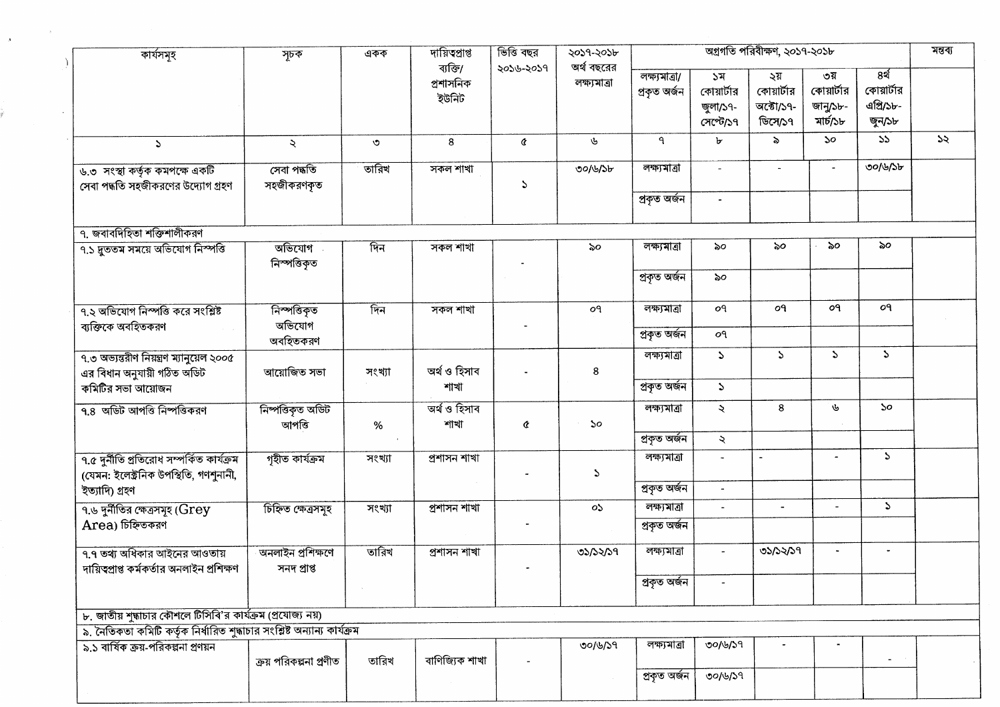| কাৰ্যসমূহ                                                                           | সূচক                             | একক     | দায়িত্প্ৰাপ্ত                    | ভিত্তি বছর | ২০১৭-২০১৮                   |                               | মন্তব্য                                   |                                           |                                           |                                           |    |
|-------------------------------------------------------------------------------------|----------------------------------|---------|-----------------------------------|------------|-----------------------------|-------------------------------|-------------------------------------------|-------------------------------------------|-------------------------------------------|-------------------------------------------|----|
|                                                                                     |                                  |         | ব্যক্তি/<br>প্ৰশাসনিক<br>ইউনিট    | ২০১৬-২০১৭  | অৰ্থ বছরের<br>লক্ষ্যমাত্রা  | লক্ষ্যমাত্ৰা/<br>প্ৰকৃত অৰ্জন | ১ম<br>কোয়ার্টার<br>জুলা/১৭-<br>সেপ্টে/১৭ | ২য়<br>কোয়ার্টার<br>অক্টো/১৭-<br>ডিসে/১৭ | ৩য়<br>কোয়ার্টার<br>জানু/১৮-<br>মাৰ্চ/১৮ | ৪র্থ<br>কোয়ার্টার<br>এগ্রি/১৮-<br>জুন/১৮ |    |
| S                                                                                   | $\lambda$                        | $\circ$ | 8                                 | ¢          | ىق                          | $\mathbf{P}$                  | $\mathbf{b}$                              | ৯                                         | ১০                                        | 55                                        | 55 |
| ৬.৩ সংস্থা কর্তৃক কমপক্ষে একটি<br>সেবা পদ্ধতি সহজীকরণের উদ্যোগ গ্রহণ                | সেবা পদ্ধতি<br>সহজীকরণকৃত        | তারিখ   | সকল শাখা                          | S          | ৩০/৬/১৮                     | লক্ষ্যমাত্ৰা                  | $\omega$                                  | $\sim$                                    |                                           | ৩০/৬/১৮                                   |    |
|                                                                                     |                                  |         |                                   |            |                             | প্ৰকৃত অৰ্জন                  | $\blacksquare$                            |                                           |                                           |                                           |    |
| ৭. জবাবদিহিতা শক্তিশালীকরণ                                                          |                                  |         |                                   |            |                             |                               |                                           |                                           |                                           |                                           |    |
| ৭.১ দুততম সময়ে অভিযোগ নিস্পত্তি                                                    | অভিযোগ<br>নিস্পত্তিকৃত           | দিন     | সকল শাখা                          |            | ৯০                          | লক্ষ্যমাত্ৰা                  | ৯০                                        | ৯০                                        | ৯০                                        | ৯০                                        |    |
|                                                                                     |                                  |         |                                   |            |                             | প্ৰকৃত অৰ্জন                  | ৯০                                        |                                           |                                           |                                           |    |
| ৭.২ অভিযোগ নিস্পত্তি করে সংশ্লিষ্ট                                                  | নিস্পত্তিকৃত                     | দিন     | $\overline{\phantom{a}}$ সকল শাখা |            | o٩                          | লক্ষ্যমাত্ৰা                  | οq                                        | o٩                                        | o٩                                        | o٩                                        |    |
| ব্যক্তিকে অবহিতকরণ                                                                  | অভিযোগ<br>অবহিতকরণ               |         |                                   |            |                             | প্ৰকৃত অৰ্জন                  | oq                                        |                                           |                                           |                                           |    |
| ৭.৩ অভ্যন্তরীণ নিয়ন্ত্রণ ম্যানুয়েল ২০০৫<br>এর বিধান অনুযায়ী গঠিত অডিট            | আয়োজিত সভা                      | সংখ্যা  | অৰ্থ ও হিসাব                      |            | 8                           | লক্ষ্যমাত্ৰা                  | $\mathcal{L}$                             | S.                                        | S.                                        | $\mathcal{L}$                             |    |
| কমিটির সভা আয়োজন                                                                   |                                  |         | শাখা                              |            |                             | প্ৰকৃত অৰ্জন                  | $\mathcal{L}$                             |                                           |                                           |                                           |    |
| ৭.৪ অডিট আপত্তি নিষ্পত্তিকরণ                                                        | নিষ্পত্তিকৃত অডিট<br>আপত্তি      | $\%$    | অৰ্থ ও হিসাব<br>শাখা              | ¢          | $\mathcal{S}^{\mathcal{O}}$ | লক্ষ্যমাত্ৰা                  | $\ddot{\sim}$                             | 8                                         | ৬                                         | $\mathcal{S}^{\mathcal{O}}$               |    |
|                                                                                     |                                  |         |                                   |            |                             | প্ৰকৃত অৰ্জন                  | $\mathcal{L}$                             |                                           |                                           |                                           |    |
| ৭.৫ দুৰ্নীতি প্ৰতিরোধ সম্পৰ্কিত কাৰ্যক্ৰম<br>(যেমন: ইলেক্ট্ৰনিক উপস্থিতি, গণশুনানী, | গৃহীত কাৰ্যক্ৰম                  | সংখ্যা  | প্ৰশাসন শাখা                      |            | $\mathcal{L}$               | লক্ষ্যমাত্ৰা                  | $\overline{\phantom{a}}$                  |                                           |                                           | $\mathcal{L}$                             |    |
| ইত্যাদি) গ্ৰহণ                                                                      |                                  |         |                                   |            |                             | প্ৰকৃত অৰ্জন                  | $\blacksquare$                            |                                           |                                           |                                           |    |
| $9.6$ দুর্নীতির ক্ষেত্রসমূহ ( ${\rm Grey}$                                          | চিহ্নিত ক্ষেত্ৰসমূহ              | সংখ্যা  | প্ৰশাসন শাখা                      |            | ০১                          | লক্ষ্যমাত্ৰা                  | $\blacksquare$                            | $\blacksquare$                            |                                           | $\mathcal{L}$                             |    |
| Area) চিহ্নিতকরণ                                                                    |                                  |         |                                   |            |                             | প্ৰকৃত অৰ্জন                  |                                           |                                           |                                           |                                           |    |
| ৭.৭ তথ্য অধিকার আইনের আওতায়<br>দায়িত্বপ্রাপ্ত কর্মকর্তার অনলাইন প্রশিক্ষণ         | অনলাইন প্ৰশিক্ষণে<br>সনদ প্ৰাপ্ত | তারিখ   | প্ৰশাসন শাখা                      |            | 03/32/39                    | লক্ষ্যমাত্ৰা                  | $\blacksquare$                            | ৩১/১২/১৭                                  | $\tilde{\phantom{a}}$                     | $\overline{\phantom{a}}$                  |    |
|                                                                                     |                                  |         |                                   |            |                             | প্ৰকৃত অৰ্জন                  |                                           |                                           |                                           |                                           |    |
| ৮. জাতীয় শুদ্ধাচার কৌশলে টিসিবি'র কার্যক্রম (প্রযোজ্য নয়)                         |                                  |         |                                   |            |                             |                               |                                           |                                           |                                           |                                           |    |
| ৯. নৈতিকতা কমিটি কর্তৃক নির্ধারিত শুদ্ধাচার সংশ্লিষ্ট অন্যান্য কার্যক্রম            |                                  |         |                                   |            |                             |                               |                                           |                                           |                                           |                                           |    |
| ৯.১ বার্ষিক ক্রয়-পরিকল্পনা প্রণয়ন                                                 | ক্রয় পরিকল্পনা প্রণীত           | তারিখ   | বাণিজ্যিক শাখা                    |            | ৩০/৬/১৭                     | লক্ষ্যমাত্ৰা                  | 00/6/59                                   |                                           |                                           |                                           |    |
|                                                                                     |                                  |         |                                   |            |                             | প্ৰকৃত অৰ্জন                  | ৩০/৬/১৭                                   |                                           |                                           |                                           |    |

 $\mathcal{O}(\mathcal{O}(\log n))$ 

 $\hat{\mathbf{x}}$ 

÷.